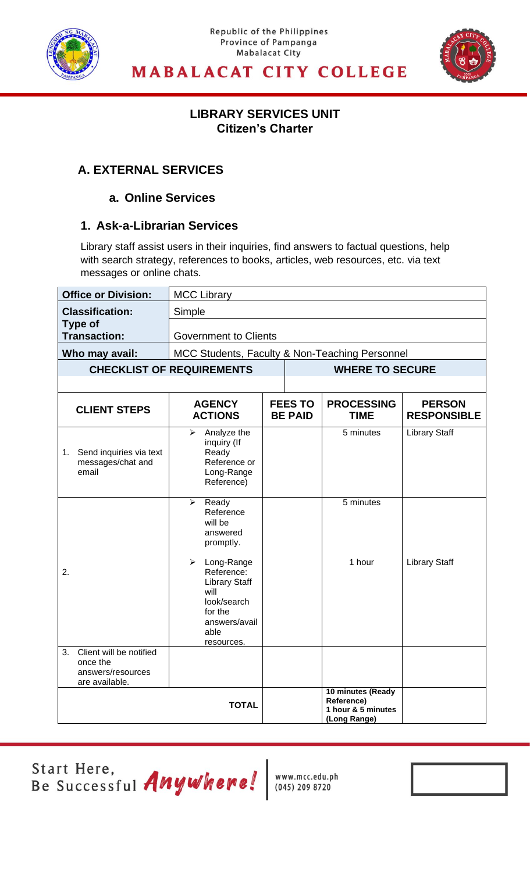

#### Republic of the Philippines Province of Pampanga **Mabalacat City**



### **MABALACAT CITY COLLEGE**

### **LIBRARY SERVICES UNIT Citizen's Charter**

**LIBRARY SERVICES UNIT**

### **A. EXTERNAL SERVICES**

#### **a. Online Services**

### **1. Ask-a-Librarian Services**

Library staff assist users in their inquiries, find answers to factual questions, help with search strategy, references to books, articles, web resources, etc. via text messages or online chats.

| <b>Office or Division:</b>                               | <b>MCC Library</b>                                                                                                                                                                                                |                              |                                  |                                                                       |                                     |  |
|----------------------------------------------------------|-------------------------------------------------------------------------------------------------------------------------------------------------------------------------------------------------------------------|------------------------------|----------------------------------|-----------------------------------------------------------------------|-------------------------------------|--|
| <b>Classification:</b>                                   | Simple                                                                                                                                                                                                            |                              |                                  |                                                                       |                                     |  |
| <b>Type of</b><br><b>Transaction:</b>                    |                                                                                                                                                                                                                   | <b>Government to Clients</b> |                                  |                                                                       |                                     |  |
| Who may avail:                                           | MCC Students, Faculty & Non-Teaching Personnel                                                                                                                                                                    |                              |                                  |                                                                       |                                     |  |
|                                                          | <b>CHECKLIST OF REQUIREMENTS</b>                                                                                                                                                                                  |                              |                                  | <b>WHERE TO SECURE</b>                                                |                                     |  |
|                                                          |                                                                                                                                                                                                                   |                              |                                  |                                                                       |                                     |  |
| <b>CLIENT STEPS</b>                                      | <b>AGENCY</b><br><b>ACTIONS</b>                                                                                                                                                                                   |                              | <b>FEES TO</b><br><b>BE PAID</b> | <b>PROCESSING</b><br><b>TIME</b>                                      | <b>PERSON</b><br><b>RESPONSIBLE</b> |  |
| 1. Send inquiries via text<br>messages/chat and<br>email | Analyze the<br>➤<br>inquiry (If<br>Ready<br>Reference or<br>Long-Range<br>Reference)                                                                                                                              |                              |                                  | 5 minutes                                                             | <b>Library Staff</b>                |  |
| 2.<br>Client will be notified<br>3.                      | Ready<br>➤<br>Reference<br>will be<br>answered<br>promptly.<br>$\blacktriangleright$<br>Long-Range<br>Reference:<br><b>Library Staff</b><br>will<br>look/search<br>for the<br>answers/avail<br>able<br>resources. |                              |                                  | 5 minutes<br>1 hour                                                   | <b>Library Staff</b>                |  |
| once the<br>answers/resources<br>are available.          |                                                                                                                                                                                                                   |                              |                                  |                                                                       |                                     |  |
|                                                          | <b>TOTAL</b>                                                                                                                                                                                                      |                              |                                  | 10 minutes (Ready<br>Reference)<br>1 hour & 5 minutes<br>(Long Range) |                                     |  |

Start Here,<br>Be Successful *Anywhere!* Neww.mcc.edu.ph

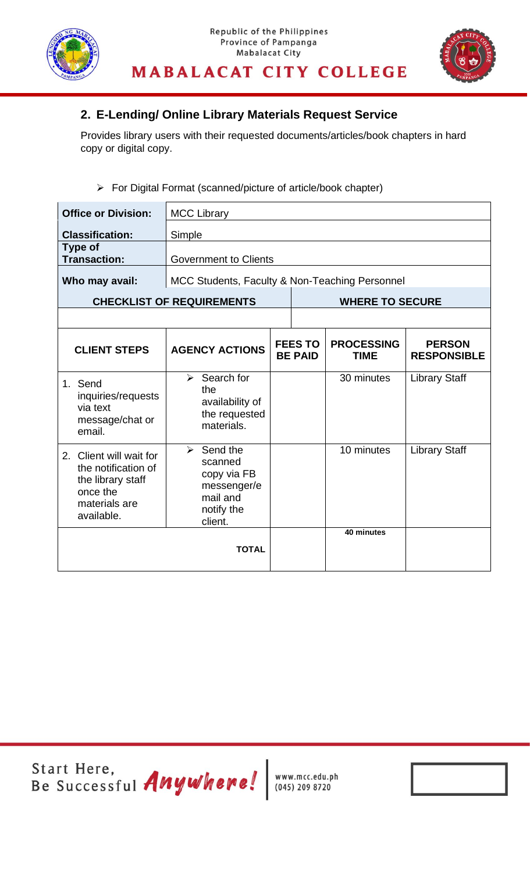



### **2. E-Lending/ Online Library Materials Request Service**

Provides library users with their requested documents/articles/book chapters in hard copy or digital copy.

#### ➢ For Digital Format (scanned/picture of article/book chapter)

| <b>Office or Division:</b>                                                                                     | <b>MCC Library</b>                                                                                      |                                  |                                  |                                     |
|----------------------------------------------------------------------------------------------------------------|---------------------------------------------------------------------------------------------------------|----------------------------------|----------------------------------|-------------------------------------|
| <b>Classification:</b>                                                                                         | Simple                                                                                                  |                                  |                                  |                                     |
| Type of<br><b>Transaction:</b>                                                                                 | <b>Government to Clients</b>                                                                            |                                  |                                  |                                     |
| Who may avail:                                                                                                 | MCC Students, Faculty & Non-Teaching Personnel                                                          |                                  |                                  |                                     |
|                                                                                                                | <b>CHECKLIST OF REQUIREMENTS</b>                                                                        |                                  | <b>WHERE TO SECURE</b>           |                                     |
|                                                                                                                |                                                                                                         |                                  |                                  |                                     |
| <b>CLIENT STEPS</b>                                                                                            | <b>AGENCY ACTIONS</b>                                                                                   | <b>FEES TO</b><br><b>BE PAID</b> | <b>PROCESSING</b><br><b>TIME</b> | <b>PERSON</b><br><b>RESPONSIBLE</b> |
| 1. Send<br>inquiries/requests<br>via text<br>message/chat or<br>email.                                         | $\triangleright$ Search for<br>the<br>availability of<br>the requested<br>materials.                    |                                  | 30 minutes                       | <b>Library Staff</b>                |
| 2. Client will wait for<br>the notification of<br>the library staff<br>once the<br>materials are<br>available. | $\triangleright$ Send the<br>scanned<br>copy via FB<br>messenger/e<br>mail and<br>notify the<br>client. |                                  | 10 minutes                       | <b>Library Staff</b>                |
|                                                                                                                | <b>TOTAL</b>                                                                                            |                                  | 40 minutes                       |                                     |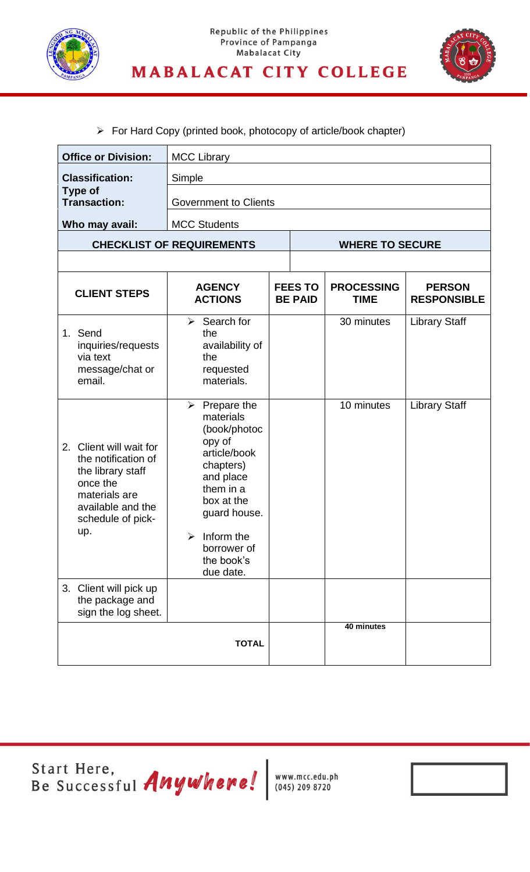



# ➢ For Hard Copy (printed book, photocopy of article/book chapter)

| <b>Office or Division:</b>                                                                                                                           | <b>MCC Library</b>                                                                                                                                                                                                                        |  |                                  |                                  |                                     |
|------------------------------------------------------------------------------------------------------------------------------------------------------|-------------------------------------------------------------------------------------------------------------------------------------------------------------------------------------------------------------------------------------------|--|----------------------------------|----------------------------------|-------------------------------------|
| <b>Classification:</b>                                                                                                                               | Simple                                                                                                                                                                                                                                    |  |                                  |                                  |                                     |
| <b>Type of</b><br><b>Transaction:</b>                                                                                                                | <b>Government to Clients</b>                                                                                                                                                                                                              |  |                                  |                                  |                                     |
| Who may avail:                                                                                                                                       | <b>MCC Students</b>                                                                                                                                                                                                                       |  |                                  |                                  |                                     |
|                                                                                                                                                      | <b>CHECKLIST OF REQUIREMENTS</b>                                                                                                                                                                                                          |  |                                  | <b>WHERE TO SECURE</b>           |                                     |
|                                                                                                                                                      |                                                                                                                                                                                                                                           |  |                                  |                                  |                                     |
| <b>CLIENT STEPS</b>                                                                                                                                  | <b>AGENCY</b><br><b>ACTIONS</b>                                                                                                                                                                                                           |  | <b>FEES TO</b><br><b>BE PAID</b> | <b>PROCESSING</b><br><b>TIME</b> | <b>PERSON</b><br><b>RESPONSIBLE</b> |
| 1. Send<br>inquiries/requests<br>via text<br>message/chat or<br>email.                                                                               | $\triangleright$ Search for<br>the<br>availability of<br>the<br>requested<br>materials.                                                                                                                                                   |  |                                  | 30 minutes                       | <b>Library Staff</b>                |
| Client will wait for<br>2.<br>the notification of<br>the library staff<br>once the<br>materials are<br>available and the<br>schedule of pick-<br>up. | $\triangleright$ Prepare the<br>materials<br>(book/photoc<br>opy of<br>article/book<br>chapters)<br>and place<br>them in a<br>box at the<br>guard house.<br>Inform the<br>$\blacktriangleright$<br>borrower of<br>the book's<br>due date. |  |                                  | 10 minutes                       | <b>Library Staff</b>                |
| 3. Client will pick up<br>the package and<br>sign the log sheet.                                                                                     |                                                                                                                                                                                                                                           |  |                                  |                                  |                                     |
|                                                                                                                                                      | <b>TOTAL</b>                                                                                                                                                                                                                              |  |                                  | 40 minutes                       |                                     |

Start Here,<br>Be Successful Anywhere! WWW.mcc.edu.ph

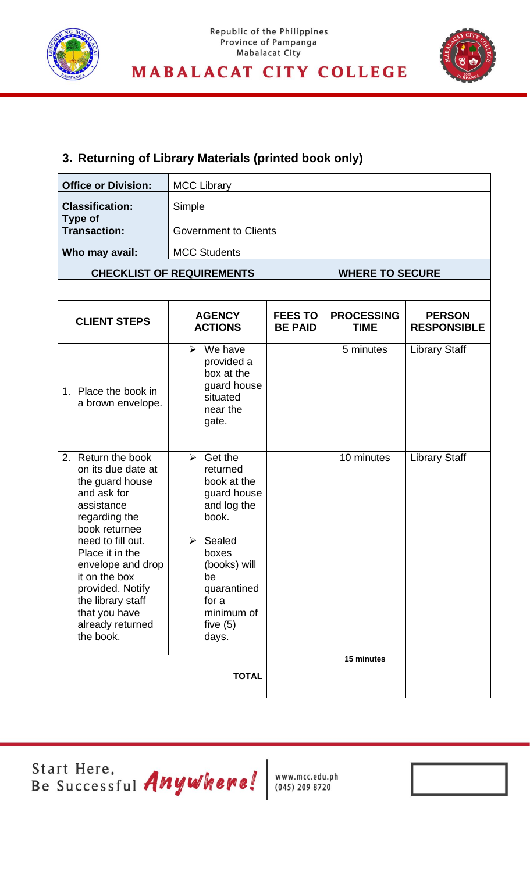



### **3. Returning of Library Materials (printed book only)**

| <b>Office or Division:</b>                                                                                                                                                                                                                                                                             | <b>MCC Library</b>                                                                                                                                                                               |  |                                  |                                  |                                     |  |
|--------------------------------------------------------------------------------------------------------------------------------------------------------------------------------------------------------------------------------------------------------------------------------------------------------|--------------------------------------------------------------------------------------------------------------------------------------------------------------------------------------------------|--|----------------------------------|----------------------------------|-------------------------------------|--|
| <b>Classification:</b>                                                                                                                                                                                                                                                                                 | Simple                                                                                                                                                                                           |  |                                  |                                  |                                     |  |
| <b>Type of</b><br><b>Transaction:</b>                                                                                                                                                                                                                                                                  | <b>Government to Clients</b>                                                                                                                                                                     |  |                                  |                                  |                                     |  |
| Who may avail:                                                                                                                                                                                                                                                                                         | <b>MCC Students</b>                                                                                                                                                                              |  |                                  |                                  |                                     |  |
|                                                                                                                                                                                                                                                                                                        | <b>CHECKLIST OF REQUIREMENTS</b>                                                                                                                                                                 |  |                                  | <b>WHERE TO SECURE</b>           |                                     |  |
|                                                                                                                                                                                                                                                                                                        |                                                                                                                                                                                                  |  |                                  |                                  |                                     |  |
| <b>CLIENT STEPS</b>                                                                                                                                                                                                                                                                                    | <b>AGENCY</b><br><b>ACTIONS</b>                                                                                                                                                                  |  | <b>FEES TO</b><br><b>BE PAID</b> | <b>PROCESSING</b><br><b>TIME</b> | <b>PERSON</b><br><b>RESPONSIBLE</b> |  |
| 1. Place the book in<br>a brown envelope.                                                                                                                                                                                                                                                              | $\triangleright$ We have<br>provided a<br>box at the<br>guard house<br>situated<br>near the<br>gate.                                                                                             |  |                                  | 5 minutes                        | <b>Library Staff</b>                |  |
| Return the book<br>2.<br>on its due date at<br>the guard house<br>and ask for<br>assistance<br>regarding the<br>book returnee<br>need to fill out.<br>Place it in the<br>envelope and drop<br>it on the box<br>provided. Notify<br>the library staff<br>that you have<br>already returned<br>the book. | $\triangleright$ Get the<br>returned<br>book at the<br>guard house<br>and log the<br>book.<br>Sealed<br>boxes<br>(books) will<br>be<br>quarantined<br>for a<br>minimum of<br>five $(5)$<br>days. |  |                                  | 10 minutes                       | <b>Library Staff</b>                |  |
|                                                                                                                                                                                                                                                                                                        | <b>TOTAL</b>                                                                                                                                                                                     |  |                                  | 15 minutes                       |                                     |  |

Start Here,<br>Be Successful Anywhere! Www.mcc.edu.ph

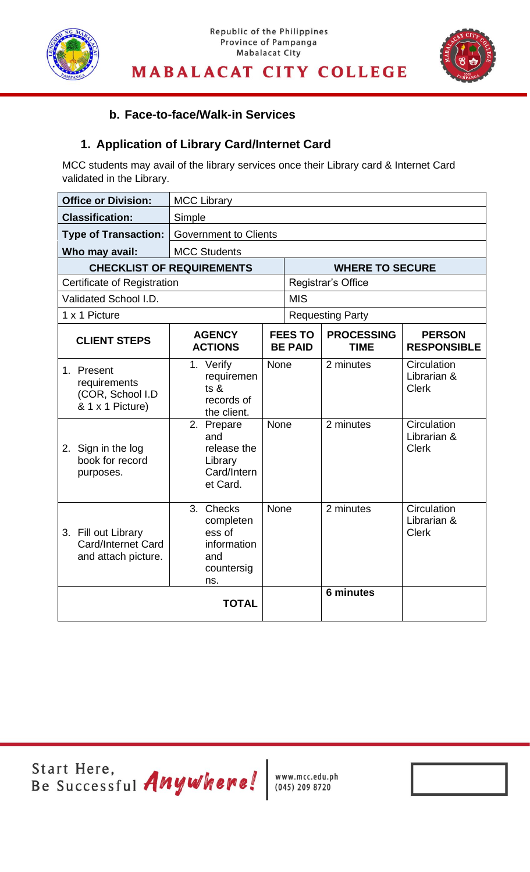



**LIBRARY SERVICES UNIT**

### **b. Face-to-face/Walk-in Services**

### **1. Application of Library Card/Internet Card**

MCC students may avail of the library services once their Library card & Internet Card validated in the Library.

| <b>Office or Division:</b>                                         | <b>MCC Library</b>                                                             |             |                                  |                                  |                                            |  |
|--------------------------------------------------------------------|--------------------------------------------------------------------------------|-------------|----------------------------------|----------------------------------|--------------------------------------------|--|
| <b>Classification:</b>                                             | Simple                                                                         |             |                                  |                                  |                                            |  |
| <b>Type of Transaction:</b>                                        | <b>Government to Clients</b>                                                   |             |                                  |                                  |                                            |  |
| Who may avail:                                                     | <b>MCC Students</b>                                                            |             |                                  |                                  |                                            |  |
|                                                                    | <b>CHECKLIST OF REQUIREMENTS</b>                                               |             |                                  | <b>WHERE TO SECURE</b>           |                                            |  |
| Certificate of Registration                                        |                                                                                |             |                                  | Registrar's Office               |                                            |  |
| Validated School I.D.                                              |                                                                                |             | <b>MIS</b>                       |                                  |                                            |  |
| 1 x 1 Picture                                                      |                                                                                |             |                                  | <b>Requesting Party</b>          |                                            |  |
| <b>CLIENT STEPS</b>                                                | <b>AGENCY</b><br><b>ACTIONS</b>                                                |             | <b>FEES TO</b><br><b>BE PAID</b> | <b>PROCESSING</b><br><b>TIME</b> | <b>PERSON</b><br><b>RESPONSIBLE</b>        |  |
| 1. Present<br>requirements<br>(COR, School I.D<br>& 1 x 1 Picture) | 1. Verify<br>requiremen<br>ts &<br>records of<br>the client.                   | None        |                                  | 2 minutes                        | Circulation<br>Librarian &<br><b>Clerk</b> |  |
| 2. Sign in the log<br>book for record<br>purposes.                 | 2. Prepare<br>and<br>release the<br>Library<br>Card/Intern<br>et Card.         | <b>None</b> |                                  | 2 minutes                        | Circulation<br>Librarian &<br><b>Clerk</b> |  |
| 3. Fill out Library<br>Card/Internet Card<br>and attach picture.   | 3.<br>Checks<br>completen<br>ess of<br>information<br>and<br>countersig<br>ns. | <b>None</b> |                                  | 2 minutes                        | Circulation<br>Librarian &<br><b>Clerk</b> |  |
|                                                                    | <b>TOTAL</b>                                                                   |             |                                  | <b>6 minutes</b>                 |                                            |  |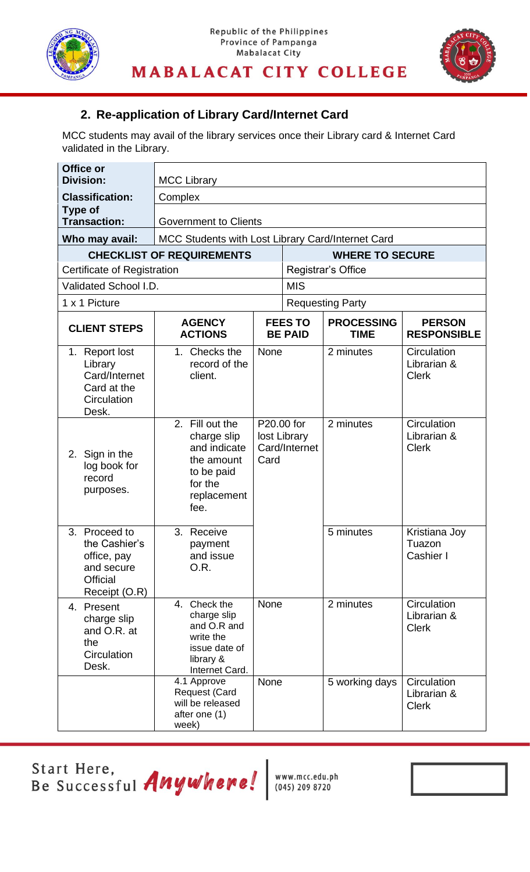



**LIBRARY SERVICES UNIT**

### **2. Re-application of Library Card/Internet Card**

MCC students may avail of the library services once their Library card & Internet Card validated in the Library.

| Office or<br><b>Division:</b>                                                                   | <b>MCC Library</b>                                                                                           |                                                     |                                  |                                  |                                            |
|-------------------------------------------------------------------------------------------------|--------------------------------------------------------------------------------------------------------------|-----------------------------------------------------|----------------------------------|----------------------------------|--------------------------------------------|
| <b>Classification:</b>                                                                          | Complex                                                                                                      |                                                     |                                  |                                  |                                            |
| <b>Type of</b><br><b>Transaction:</b>                                                           | <b>Government to Clients</b>                                                                                 |                                                     |                                  |                                  |                                            |
| Who may avail:                                                                                  | MCC Students with Lost Library Card/Internet Card                                                            |                                                     |                                  |                                  |                                            |
|                                                                                                 | <b>CHECKLIST OF REQUIREMENTS</b>                                                                             |                                                     |                                  | <b>WHERE TO SECURE</b>           |                                            |
| <b>Certificate of Registration</b>                                                              |                                                                                                              |                                                     |                                  | Registrar's Office               |                                            |
| Validated School I.D.                                                                           |                                                                                                              |                                                     | <b>MIS</b>                       |                                  |                                            |
| 1 x 1 Picture                                                                                   |                                                                                                              |                                                     |                                  | <b>Requesting Party</b>          |                                            |
| <b>CLIENT STEPS</b>                                                                             | <b>AGENCY</b><br><b>ACTIONS</b>                                                                              |                                                     | <b>FEES TO</b><br><b>BE PAID</b> | <b>PROCESSING</b><br><b>TIME</b> | <b>PERSON</b><br><b>RESPONSIBLE</b>        |
| 1. Report lost<br>Library<br>Card/Internet<br>Card at the<br>Circulation<br>Desk.               | 1. Checks the<br>record of the<br>client.                                                                    | None                                                |                                  | 2 minutes                        | Circulation<br>Librarian &<br><b>Clerk</b> |
| 2. Sign in the<br>log book for<br>record<br>purposes.                                           | 2. Fill out the<br>charge slip<br>and indicate<br>the amount<br>to be paid<br>for the<br>replacement<br>fee. | P20.00 for<br>lost Library<br>Card/Internet<br>Card |                                  | 2 minutes                        | Circulation<br>Librarian &<br><b>Clerk</b> |
| 3. Proceed to<br>the Cashier's<br>office, pay<br>and secure<br><b>Official</b><br>Receipt (O.R) | 3. Receive<br>payment<br>and issue<br>O.R.                                                                   |                                                     |                                  | 5 minutes                        | Kristiana Joy<br>Tuazon<br>Cashier I       |
| 4. Present<br>charge slip<br>and O.R. at<br>the<br>Circulation<br>Desk.                         | 4. Check the<br>charge slip<br>and O.R and<br>write the<br>issue date of<br>library &<br>Internet Card.      | <b>None</b>                                         |                                  | 2 minutes                        | Circulation<br>Librarian &<br><b>Clerk</b> |
|                                                                                                 | 4.1 Approve<br><b>Request (Card</b><br>will be released<br>after one (1)<br>week)                            | None                                                |                                  | 5 working days                   | Circulation<br>Librarian &<br><b>Clerk</b> |

Start Here,<br>Be Successful *Anywhere!* Www.mcc.edu.ph

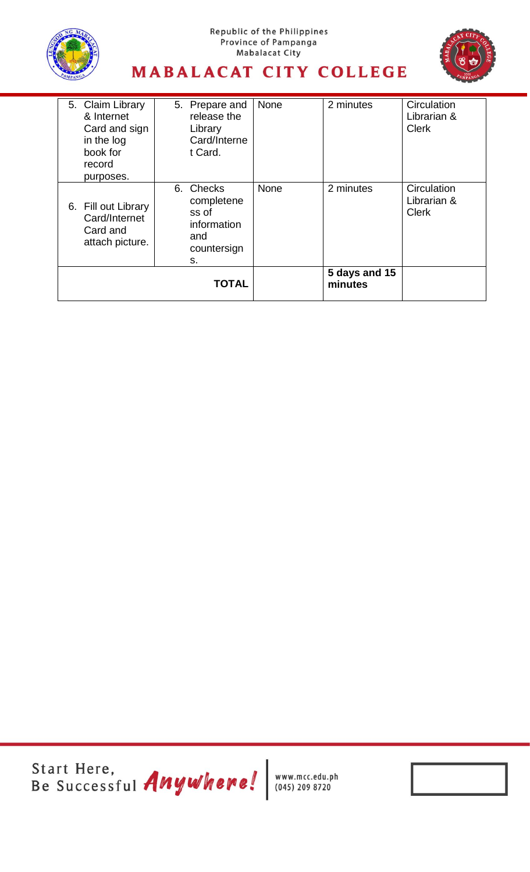





| 5. Claim Library<br>& Internet<br>Card and sign<br>in the log<br>book for<br>record<br>purposes. | 5. Prepare and<br>release the<br>Library<br>Card/Interne<br>t Card.         | None        | 2 minutes                | Circulation<br>Librarian &<br><b>Clerk</b> |
|--------------------------------------------------------------------------------------------------|-----------------------------------------------------------------------------|-------------|--------------------------|--------------------------------------------|
| 6. Fill out Library<br>Card/Internet<br>Card and<br>attach picture.                              | 6. Checks<br>completene<br>ss of<br>information<br>and<br>countersign<br>s. | <b>None</b> | 2 minutes                | Circulation<br>Librarian &<br><b>Clerk</b> |
|                                                                                                  | <b>TOTAL</b>                                                                |             | 5 days and 15<br>minutes |                                            |

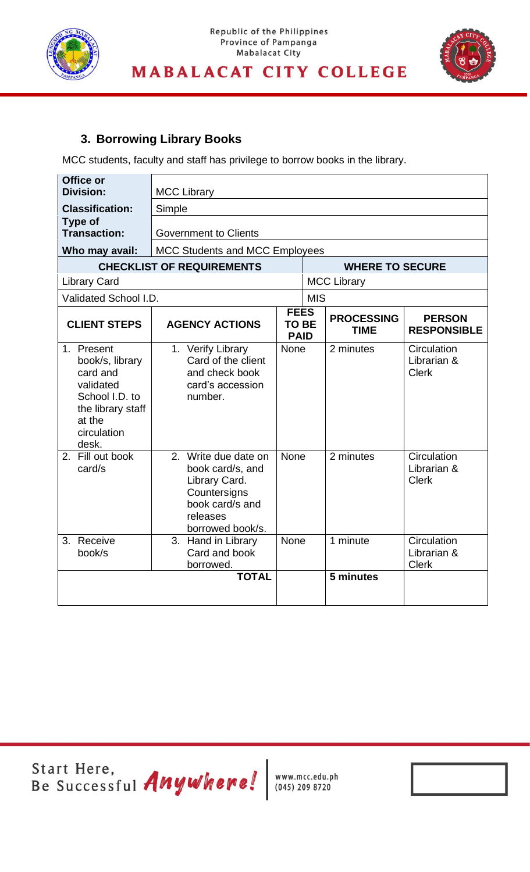



### **3. Borrowing Library Books**

MCC students, faculty and staff has privilege to borrow books in the library.

| Office or<br><b>Division:</b>                                                                                                   | <b>MCC Library</b>                                                                                                           |                                            |            |                                  |                                            |
|---------------------------------------------------------------------------------------------------------------------------------|------------------------------------------------------------------------------------------------------------------------------|--------------------------------------------|------------|----------------------------------|--------------------------------------------|
| <b>Classification:</b>                                                                                                          | Simple                                                                                                                       |                                            |            |                                  |                                            |
| <b>Type of</b><br><b>Transaction:</b>                                                                                           | <b>Government to Clients</b>                                                                                                 |                                            |            |                                  |                                            |
| Who may avail:                                                                                                                  | <b>MCC Students and MCC Employees</b>                                                                                        |                                            |            |                                  |                                            |
|                                                                                                                                 | <b>CHECKLIST OF REQUIREMENTS</b>                                                                                             |                                            |            | <b>WHERE TO SECURE</b>           |                                            |
| <b>Library Card</b>                                                                                                             |                                                                                                                              |                                            |            | <b>MCC Library</b>               |                                            |
| Validated School I.D.                                                                                                           |                                                                                                                              |                                            | <b>MIS</b> |                                  |                                            |
| <b>CLIENT STEPS</b>                                                                                                             | <b>AGENCY ACTIONS</b>                                                                                                        | <b>FEES</b><br><b>TO BE</b><br><b>PAID</b> |            | <b>PROCESSING</b><br><b>TIME</b> | <b>PERSON</b><br><b>RESPONSIBLE</b>        |
| 1. Present<br>book/s, library<br>card and<br>validated<br>School I.D. to<br>the library staff<br>at the<br>circulation<br>desk. | 1. Verify Library<br>Card of the client<br>and check book<br>card's accession<br>number.                                     | None                                       |            | 2 minutes                        | Circulation<br>Librarian &<br><b>Clerk</b> |
| 2. Fill out book<br>card/s                                                                                                      | 2. Write due date on<br>book card/s, and<br>Library Card.<br>Countersigns<br>book card/s and<br>releases<br>borrowed book/s. | <b>None</b>                                |            | 2 minutes                        | Circulation<br>Librarian &<br><b>Clerk</b> |
| 3. Receive<br>book/s                                                                                                            | 3. Hand in Library<br>Card and book<br>borrowed.                                                                             | <b>None</b>                                |            | 1 minute                         | Circulation<br>Librarian &<br><b>Clerk</b> |
|                                                                                                                                 | <b>TOTAL</b>                                                                                                                 |                                            |            | 5 minutes                        |                                            |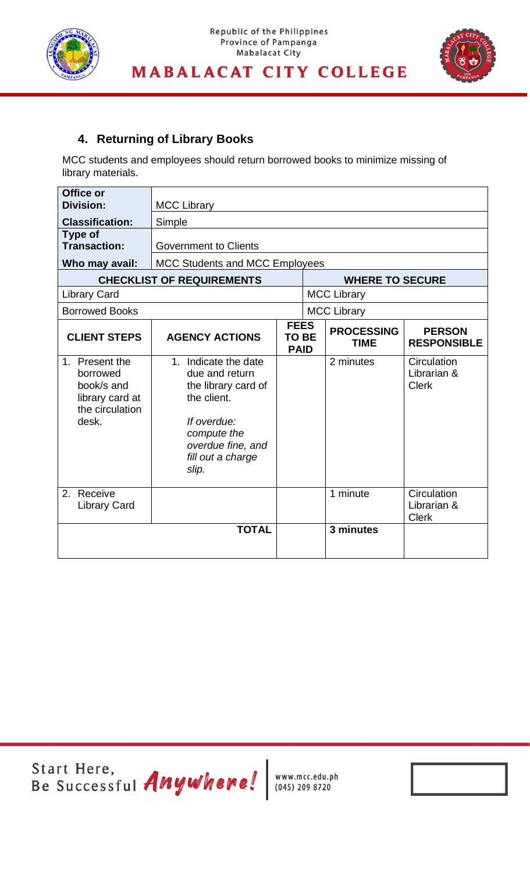



### **4. Returning of Library Books**

MCC students and employees should return borrowed books to minimize missing of library materials.

| Office or<br><b>Division:</b>                                                           | <b>MCC Library</b>                                                                                                                                            |                                            |                                  |                                            |
|-----------------------------------------------------------------------------------------|---------------------------------------------------------------------------------------------------------------------------------------------------------------|--------------------------------------------|----------------------------------|--------------------------------------------|
| <b>Classification:</b>                                                                  | Simple                                                                                                                                                        |                                            |                                  |                                            |
| Type of<br><b>Transaction:</b>                                                          | <b>Government to Clients</b>                                                                                                                                  |                                            |                                  |                                            |
| Who may avail:                                                                          | <b>MCC Students and MCC Employees</b>                                                                                                                         |                                            |                                  |                                            |
|                                                                                         | <b>CHECKLIST OF REQUIREMENTS</b>                                                                                                                              |                                            | <b>WHERE TO SECURE</b>           |                                            |
| <b>Library Card</b>                                                                     |                                                                                                                                                               |                                            | <b>MCC Library</b>               |                                            |
| <b>Borrowed Books</b>                                                                   |                                                                                                                                                               |                                            | <b>MCC Library</b>               |                                            |
| <b>CLIENT STEPS</b>                                                                     | <b>AGENCY ACTIONS</b>                                                                                                                                         | <b>FEES</b><br><b>TO BE</b><br><b>PAID</b> | <b>PROCESSING</b><br><b>TIME</b> | <b>PERSON</b><br><b>RESPONSIBLE</b>        |
| 1. Present the<br>borrowed<br>book/s and<br>library card at<br>the circulation<br>desk. | 1. Indicate the date<br>due and return<br>the library card of<br>the client.<br>If overdue:<br>compute the<br>overdue fine, and<br>fill out a charge<br>slip. |                                            | 2 minutes                        | Circulation<br>Librarian &<br><b>Clerk</b> |
| 2. Receive<br><b>Library Card</b>                                                       |                                                                                                                                                               |                                            | 1 minute                         | Circulation<br>Librarian &<br><b>Clerk</b> |
|                                                                                         | <b>TOTAL</b>                                                                                                                                                  |                                            | 3 minutes                        |                                            |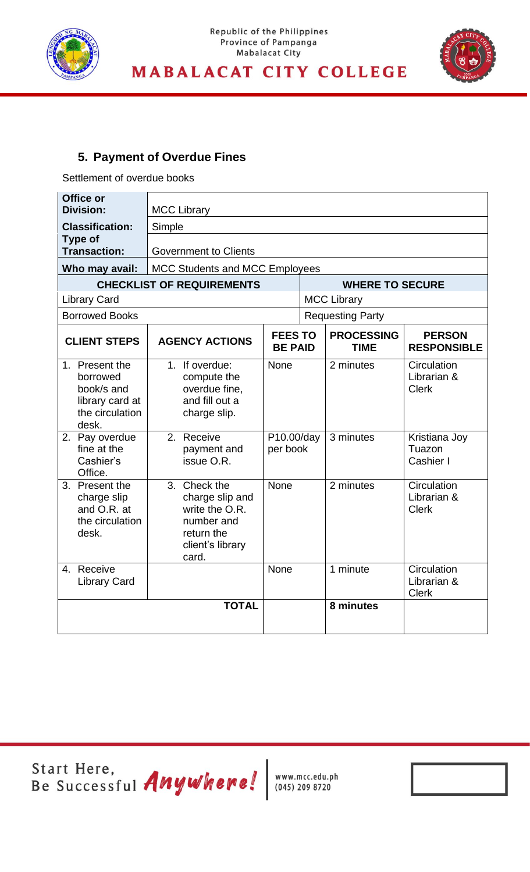

### Republic of the Philippines Province of Pampanga **Mabalacat City**



### **MABALACAT CITY COLLEGE**

**LIBRARY SERVICES UNIT**

### **5. Payment of Overdue Fines**

Settlement of overdue books

| Office or<br><b>Division:</b>                                                           | <b>MCC Library</b>                                                                                         |                                 |  |                                  |                                            |  |  |
|-----------------------------------------------------------------------------------------|------------------------------------------------------------------------------------------------------------|---------------------------------|--|----------------------------------|--------------------------------------------|--|--|
| <b>Classification:</b>                                                                  | Simple                                                                                                     |                                 |  |                                  |                                            |  |  |
| <b>Type of</b><br><b>Transaction:</b>                                                   | <b>Government to Clients</b>                                                                               |                                 |  |                                  |                                            |  |  |
| Who may avail:                                                                          | <b>MCC Students and MCC Employees</b>                                                                      |                                 |  |                                  |                                            |  |  |
|                                                                                         | <b>CHECKLIST OF REQUIREMENTS</b>                                                                           |                                 |  | <b>WHERE TO SECURE</b>           |                                            |  |  |
| <b>Library Card</b>                                                                     |                                                                                                            |                                 |  | <b>MCC Library</b>               |                                            |  |  |
| <b>Borrowed Books</b>                                                                   |                                                                                                            |                                 |  | <b>Requesting Party</b>          |                                            |  |  |
| <b>CLIENT STEPS</b>                                                                     | <b>AGENCY ACTIONS</b>                                                                                      | <b>FEESTO</b><br><b>BE PAID</b> |  | <b>PROCESSING</b><br><b>TIME</b> | <b>PERSON</b><br><b>RESPONSIBLE</b>        |  |  |
| 1. Present the<br>borrowed<br>book/s and<br>library card at<br>the circulation<br>desk. | 1. If overdue:<br>compute the<br>overdue fine,<br>and fill out a<br>charge slip.                           | None                            |  | 2 minutes                        | Circulation<br>Librarian &<br><b>Clerk</b> |  |  |
| 2. Pay overdue<br>fine at the<br>Cashier's<br>Office.                                   | 2. Receive<br>payment and<br>issue O.R.                                                                    | P10.00/day<br>per book          |  | 3 minutes                        | Kristiana Joy<br>Tuazon<br>Cashier I       |  |  |
| 3. Present the<br>charge slip<br>and O.R. at<br>the circulation<br>desk.                | 3. Check the<br>charge slip and<br>write the O.R.<br>number and<br>return the<br>client's library<br>card. | <b>None</b>                     |  | 2 minutes                        | Circulation<br>Librarian &<br><b>Clerk</b> |  |  |
| 4. Receive<br><b>Library Card</b>                                                       |                                                                                                            | <b>None</b>                     |  | 1 minute                         | Circulation<br>Librarian &<br><b>Clerk</b> |  |  |
|                                                                                         | <b>TOTAL</b>                                                                                               |                                 |  | 8 minutes                        |                                            |  |  |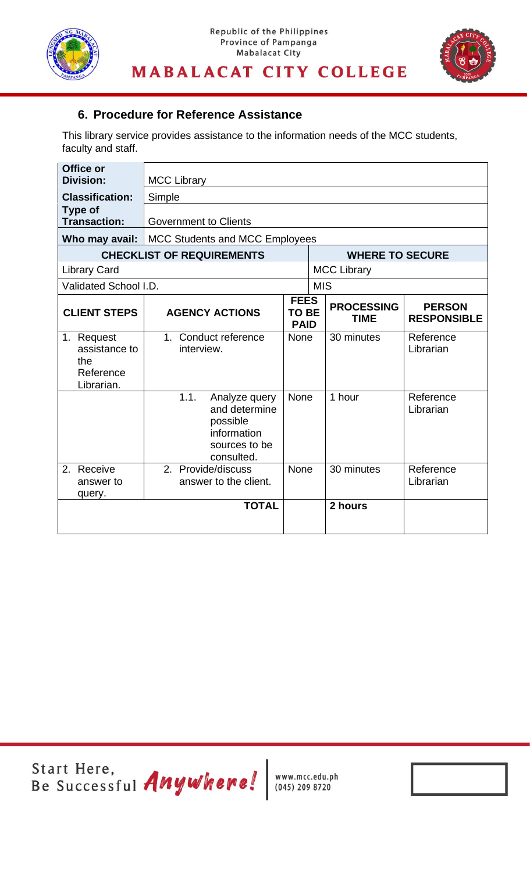



**LIBRARY SERVICES UNIT**

### **6. Procedure for Reference Assistance**

This library service provides assistance to the information needs of the MCC students, faculty and staff.

| Office or<br><b>Division:</b>                                 | <b>MCC Library</b>                                                                               |                                            |                                  |                                     |  |
|---------------------------------------------------------------|--------------------------------------------------------------------------------------------------|--------------------------------------------|----------------------------------|-------------------------------------|--|
| <b>Classification:</b>                                        | Simple                                                                                           |                                            |                                  |                                     |  |
| <b>Type of</b><br><b>Transaction:</b>                         | <b>Government to Clients</b>                                                                     |                                            |                                  |                                     |  |
| Who may avail:                                                | <b>MCC Students and MCC Employees</b>                                                            |                                            |                                  |                                     |  |
|                                                               | <b>CHECKLIST OF REQUIREMENTS</b>                                                                 |                                            | <b>WHERE TO SECURE</b>           |                                     |  |
| <b>Library Card</b>                                           |                                                                                                  |                                            | <b>MCC Library</b>               |                                     |  |
| Validated School I.D.                                         |                                                                                                  |                                            | <b>MIS</b>                       |                                     |  |
| <b>CLIENT STEPS</b>                                           | <b>AGENCY ACTIONS</b>                                                                            | <b>FEES</b><br><b>TO BE</b><br><b>PAID</b> | <b>PROCESSING</b><br><b>TIME</b> | <b>PERSON</b><br><b>RESPONSIBLE</b> |  |
| 1. Request<br>assistance to<br>the<br>Reference<br>Librarian. | 1. Conduct reference<br>interview.                                                               | <b>None</b>                                | 30 minutes                       | Reference<br>Librarian              |  |
|                                                               | 1.1.<br>Analyze query<br>and determine<br>possible<br>information<br>sources to be<br>consulted. | None                                       | 1 hour                           | Reference<br>Librarian              |  |
| Receive<br>2.<br>answer to<br>query.                          | 2. Provide/discuss<br>answer to the client.                                                      | None                                       | 30 minutes                       | Reference<br>Librarian              |  |
|                                                               | <b>TOTAL</b>                                                                                     |                                            | 2 hours                          |                                     |  |

Start Here,<br>Be Successful *Anywhere!* Www.mcc.edu.ph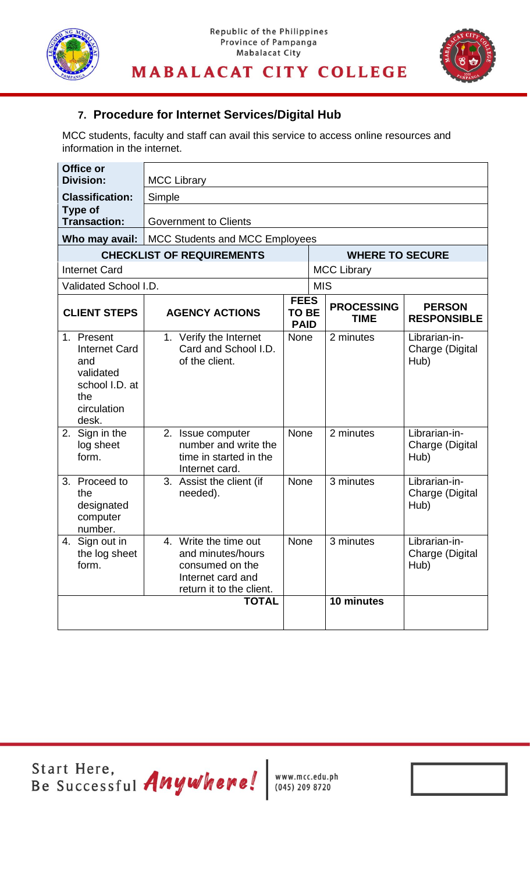



**LIBRARY SERVICES UNIT**

### **7. Procedure for Internet Services/Digital Hub**

MCC students, faculty and staff can avail this service to access online resources and information in the internet.

| Office or<br><b>Division:</b>                                                                           | <b>MCC Library</b>                                                                                             |                                            |            |                                  |                                          |
|---------------------------------------------------------------------------------------------------------|----------------------------------------------------------------------------------------------------------------|--------------------------------------------|------------|----------------------------------|------------------------------------------|
| <b>Classification:</b>                                                                                  | Simple                                                                                                         |                                            |            |                                  |                                          |
| Type of<br><b>Transaction:</b>                                                                          | <b>Government to Clients</b>                                                                                   |                                            |            |                                  |                                          |
| Who may avail:                                                                                          | <b>MCC Students and MCC Employees</b>                                                                          |                                            |            |                                  |                                          |
|                                                                                                         | <b>CHECKLIST OF REQUIREMENTS</b>                                                                               |                                            |            | <b>WHERE TO SECURE</b>           |                                          |
| <b>Internet Card</b>                                                                                    |                                                                                                                |                                            |            | <b>MCC Library</b>               |                                          |
| Validated School I.D.                                                                                   |                                                                                                                |                                            | <b>MIS</b> |                                  |                                          |
| <b>CLIENT STEPS</b>                                                                                     | <b>AGENCY ACTIONS</b>                                                                                          | <b>FEES</b><br><b>TO BE</b><br><b>PAID</b> |            | <b>PROCESSING</b><br><b>TIME</b> | <b>PERSON</b><br><b>RESPONSIBLE</b>      |
| 1. Present<br><b>Internet Card</b><br>and<br>validated<br>school I.D. at<br>the<br>circulation<br>desk. | 1. Verify the Internet<br>Card and School I.D.<br>of the client.                                               | <b>None</b>                                |            | 2 minutes                        | Librarian-in-<br>Charge (Digital<br>Hub) |
| Sign in the<br>2.<br>log sheet<br>form.                                                                 | 2. Issue computer<br>number and write the<br>time in started in the<br>Internet card.                          | None                                       |            | 2 minutes                        | Librarian-in-<br>Charge (Digital<br>Hub) |
| 3. Proceed to<br>the<br>designated<br>computer<br>number.                                               | 3. Assist the client (if<br>needed).                                                                           | None                                       |            | 3 minutes                        | Librarian-in-<br>Charge (Digital<br>Hub) |
| Sign out in<br>4.<br>the log sheet<br>form.                                                             | 4. Write the time out<br>and minutes/hours<br>consumed on the<br>Internet card and<br>return it to the client. | None                                       |            | 3 minutes                        | Librarian-in-<br>Charge (Digital<br>Hub) |
|                                                                                                         | <b>TOTAL</b>                                                                                                   |                                            |            | 10 minutes                       |                                          |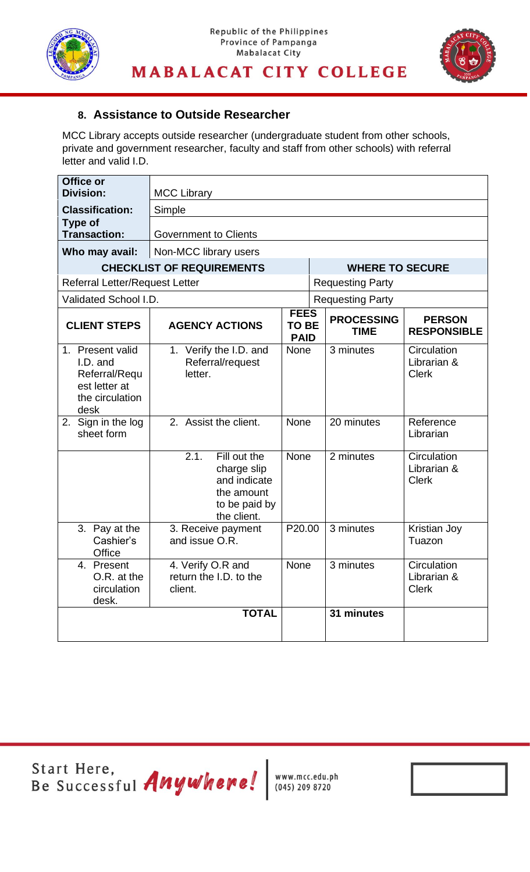



**LIBRARY SERVICES UNIT**

#### **8. Assistance to Outside Researcher**

MCC Library accepts outside researcher (undergraduate student from other schools, private and government researcher, faculty and staff from other schools) with referral letter and valid I.D.

| Office or<br><b>Division:</b>                                                             | <b>MCC Library</b>                                                                                |                                            |                         |                                  |                                            |
|-------------------------------------------------------------------------------------------|---------------------------------------------------------------------------------------------------|--------------------------------------------|-------------------------|----------------------------------|--------------------------------------------|
| <b>Classification:</b>                                                                    | Simple                                                                                            |                                            |                         |                                  |                                            |
| <b>Type of</b><br><b>Transaction:</b><br>Who may avail:                                   | <b>Government to Clients</b><br>Non-MCC library users                                             |                                            |                         |                                  |                                            |
| <b>CHECKLIST OF REQUIREMENTS</b>                                                          |                                                                                                   |                                            | <b>WHERE TO SECURE</b>  |                                  |                                            |
| <b>Referral Letter/Request Letter</b>                                                     |                                                                                                   |                                            | <b>Requesting Party</b> |                                  |                                            |
| Validated School I.D.                                                                     |                                                                                                   |                                            | <b>Requesting Party</b> |                                  |                                            |
| <b>CLIENT STEPS</b>                                                                       | <b>AGENCY ACTIONS</b>                                                                             | <b>FEES</b><br><b>TO BE</b><br><b>PAID</b> |                         | <b>PROCESSING</b><br><b>TIME</b> | <b>PERSON</b><br><b>RESPONSIBLE</b>        |
| 1. Present valid<br>I.D. and<br>Referral/Requ<br>est letter at<br>the circulation<br>desk | 1. Verify the I.D. and<br>Referral/request<br>letter.                                             | None                                       |                         | 3 minutes                        | Circulation<br>Librarian &<br><b>Clerk</b> |
| 2. Sign in the log<br>sheet form                                                          | 2. Assist the client.                                                                             | <b>None</b>                                |                         | 20 minutes                       | Reference<br>Librarian                     |
|                                                                                           | Fill out the<br>2.1.<br>charge slip<br>and indicate<br>the amount<br>to be paid by<br>the client. | None                                       |                         | 2 minutes                        | Circulation<br>Librarian &<br><b>Clerk</b> |
| 3. Pay at the<br>Cashier's<br>Office                                                      | 3. Receive payment<br>and issue O.R.                                                              | P20.00                                     |                         | 3 minutes                        | <b>Kristian Joy</b><br>Tuazon              |
| 4. Present<br>O.R. at the<br>circulation<br>desk.                                         | 4. Verify O.R and<br>return the I.D. to the<br>client.                                            | None                                       |                         | 3 minutes                        | Circulation<br>Librarian &<br><b>Clerk</b> |
|                                                                                           | <b>TOTAL</b>                                                                                      |                                            |                         | 31 minutes                       |                                            |

Start Here,<br>Be Successful Anywhere! WWW.mcc.edu.ph